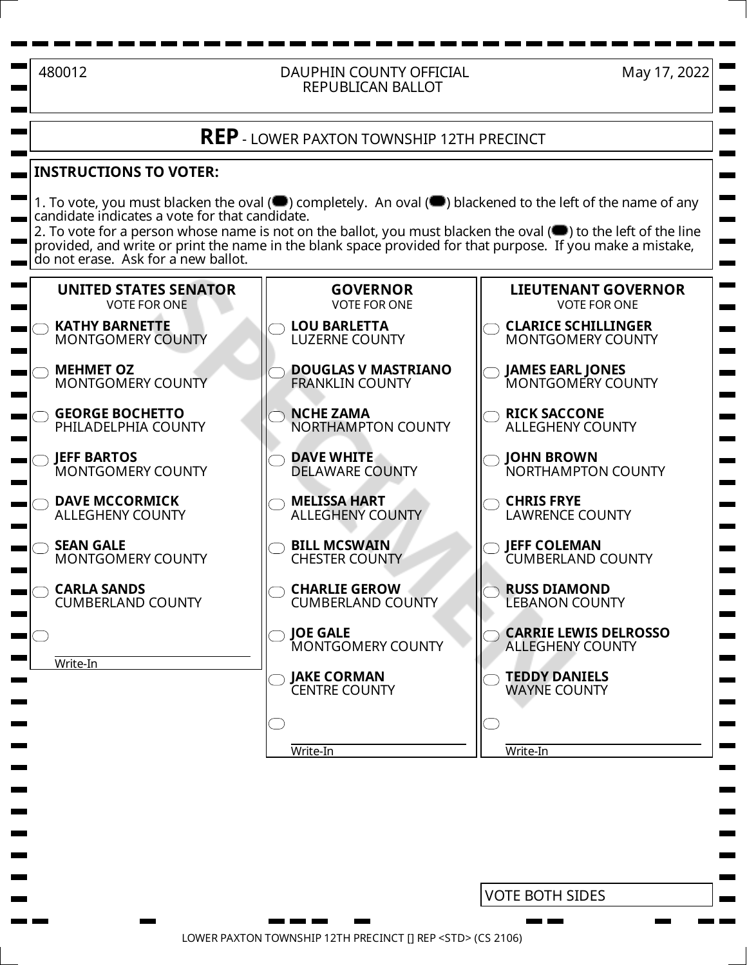## 480012 DAUPHIN COUNTY OFFICIAL REPUBLICAN BALLOT

May 17, 2022

## **REP**- LOWER PAXTON TOWNSHIP 12TH PRECINCT

## **INSTRUCTIONS TO VOTER:**

1. To vote, you must blacken the oval ( $\blacksquare$ ) completely. An oval ( $\blacksquare$ ) blackened to the left of the name of any candidate indicates a vote for that candidate.

2. To vote for a person whose name is not on the ballot, you must blacken the oval ( $\blacksquare$ ) to the left of the line provided, and write or print the name in the blank space provided for that purpose. If you make a mistake, do not erase. Ask for a new ballot.